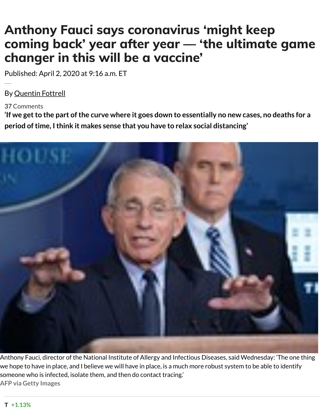### **changer in this will be a vaccine'**

Published: April 2, 2020 at 9:16 a.m. ET

### By Quentin Fottrell

#### 37 Comments

'If we get to the part of the curve where it goes down to essentially no new cases, no d **period of time, I think it makes sense that you have to relax social distancing'**



Anthony Fauci, director of the National Institute of Allergy and Infectious Diseases, said Wednesday: we hope to have in place, and I believe we will have in place, is a much more robust system to be able t someone who is infected, isolate them, and then do contact tracing.' **AFP via Getty Images**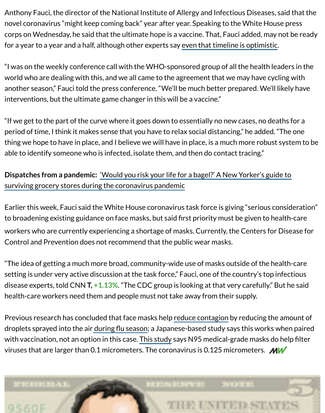"I was on the weekly conference call with the WHO-sponsored group of all the health le world who are dealing with this, and we all came to the agreement that we may have cycling another season," Fauci told the press conference. "We'll be much better prepared. We'll interventions, but the ultimate game changer in this will [be a vaccine."](https://www.cnn.com/2020/03/31/us/coronavirus-vaccine-timetable-concerns-experts-invs/index.html?mod=article_inline)

"If we get to the part of the curve where it goes down to essentially no new cases, no de period of time, I think it makes sense that you have to relax social distancing," he added. thing we hope to have in place, and I believe we will have in place, is a much more robust able to identify someone who is infected, isolate them, and then do contact tracing."

# Dispatches from a pandemic: 'Would you risk your life for a bagel?' A New Yorker's guid surviving grocery stores during the coronavirus pandemic

Earlier this week, Fauci said the White House coronavirus task force is giving "serious c to broadening existing guidance on face masks, but said first priority must be given to he workers who are currently experiencing a shortage of masks. Currently, the Centers for Control and Prevention does not recommend that the public wear masks.

"The idea of getting a much more broad, community-wide use of masks outside of the he setting is under very active discussion at the task force," Fauci, one of the country's top in disease experts, told CNN T, +1.13%. "The CDC group is looking at that very carefully." I health-care workers need them and people must not take away from their supply.

Previous research has concluded that face masks help reduce contagion by reducing the droplets sprayed into the air during flu season; a Japanese-based study says this works with vaccination, not an o[ption in thi](https://www.marketwatch.com/investing/stock/T?mod=MW_story_quote)s case. This study says N95 medical-grade masks do viruses that are larger than 0.1 micrometers. The coronavirus is 0.125 micrometers.  $\mathcal N$ 

 $P_1$  ,  $1, 1, 2, 3, 1, 1$ 

E UNITED STA